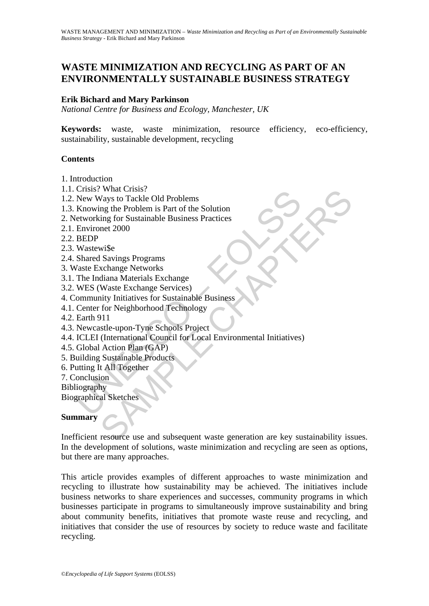# **WASTE MINIMIZATION AND RECYCLING AS PART OF AN ENVIRONMENTALLY SUSTAINABLE BUSINESS STRATEGY**

### **Erik Bichard and Mary Parkinson**

*National Centre for Business and Ecology, Manchester, UK* 

**Keywords:** waste, waste minimization, resource efficiency, eco-efficiency, sustainability, sustainable development, recycling

### **Contents**

- 1. Introduction
- 1.1. Crisis? What Crisis?
- 1.2. New Ways to Tackle Old Problems
- 1.3. Knowing the Problem is Part of the Solution
- 2. Networking for Sustainable Business Practices
- 2.1. Environet 2000
- 2.2. BEDP
- 2.3. Wastewi\$e
- 2.4. Shared Savings Programs
- 3. Waste Exchange Networks
- 3.1. The Indiana Materials Exchange
- 3.2. WES (Waste Exchange Services)
- 4. Community Initiatives for Sustainable Business
- 4.1. Center for Neighborhood Technology
- 4.2. Earth 911
- 4.3. Newcastle-upon-Tyne Schools Project
- Chisis: Walat Clisis:<br>
New Ways to Tackle Old Problems<br>
Rnowing the Problem is Part of the Solution<br>
fetworking for Sustainable Business Practices<br>
Environet 2000<br>
BEDP<br>
Wastewise<br>
Shared Savings Programs<br>
Vaste Exchange N 4.4. ICLEI (International Council for Local Environmental Initiatives)
- 4.5. Global Action Plan (GAP)
- 5. Building Sustainable Products
- 6. Putting It All Together
- 7. Conclusion
- Bibliography

Biographical Sketches

#### **Summary**

Way to Tackle Old Problems<br>
Vays to Tackle Old Problems<br>
Mays to Tackle Old Problems<br>
Ing the Problem is Part of the Solution<br>
ing for Sustainable Business Practices<br>
net 2000<br>
wise<br>
Savings Programs<br>
Waste Exchange Servic Inefficient resource use and subsequent waste generation are key sustainability issues. In the development of solutions, waste minimization and recycling are seen as options, but there are many approaches.

This article provides examples of different approaches to waste minimization and recycling to illustrate how sustainability may be achieved. The initiatives include business networks to share experiences and successes, community programs in which businesses participate in programs to simultaneously improve sustainability and bring about community benefits, initiatives that promote waste reuse and recycling, and initiatives that consider the use of resources by society to reduce waste and facilitate recycling.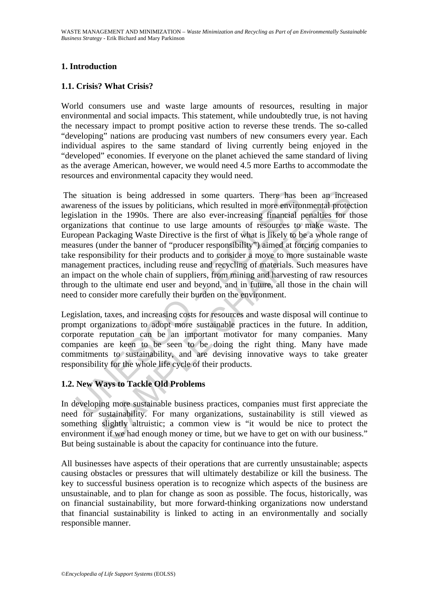# **1. Introduction**

# **1.1. Crisis? What Crisis?**

World consumers use and waste large amounts of resources, resulting in major environmental and social impacts. This statement, while undoubtedly true, is not having the necessary impact to prompt positive action to reverse these trends. The so-called "developing" nations are producing vast numbers of new consumers every year. Each individual aspires to the same standard of living currently being enjoyed in the "developed" economies. If everyone on the planet achieved the same standard of living as the average American, however, we would need 4.5 more Earths to accommodate the resources and environmental capacity they would need.

is situation is being addressed in some quarters. There has the results in more enviror salation in the 1990s. There are also ever-increasing financial princislons that continue to use large amounts of resources to popean ion is being addressed in some quarters. There has been an incread of the issues by politicians, which resulted in more environmental protect in the 1990s. There are also ever-increasing financial penalties for the and out The situation is being addressed in some quarters. There has been an increased awareness of the issues by politicians, which resulted in more environmental protection legislation in the 1990s. There are also ever-increasing financial penalties for those organizations that continue to use large amounts of resources to make waste. The European Packaging Waste Directive is the first of what is likely to be a whole range of measures (under the banner of "producer responsibility") aimed at forcing companies to take responsibility for their products and to consider a move to more sustainable waste management practices, including reuse and recycling of materials. Such measures have an impact on the whole chain of suppliers, from mining and harvesting of raw resources through to the ultimate end user and beyond, and in future, all those in the chain will need to consider more carefully their burden on the environment.

Legislation, taxes, and increasing costs for resources and waste disposal will continue to prompt organizations to adopt more sustainable practices in the future. In addition, corporate reputation can be an important motivator for many companies. Many companies are keen to be seen to be doing the right thing. Many have made commitments to sustainability, and are devising innovative ways to take greater responsibility for the whole life cycle of their products.

### **1.2. New Ways to Tackle Old Problems**

In developing more sustainable business practices, companies must first appreciate the need for sustainability. For many organizations, sustainability is still viewed as something slightly altruistic; a common view is "it would be nice to protect the environment if we had enough money or time, but we have to get on with our business." But being sustainable is about the capacity for continuance into the future.

All businesses have aspects of their operations that are currently unsustainable; aspects causing obstacles or pressures that will ultimately destabilize or kill the business. The key to successful business operation is to recognize which aspects of the business are unsustainable, and to plan for change as soon as possible. The focus, historically, was on financial sustainability, but more forward-thinking organizations now understand that financial sustainability is linked to acting in an environmentally and socially responsible manner.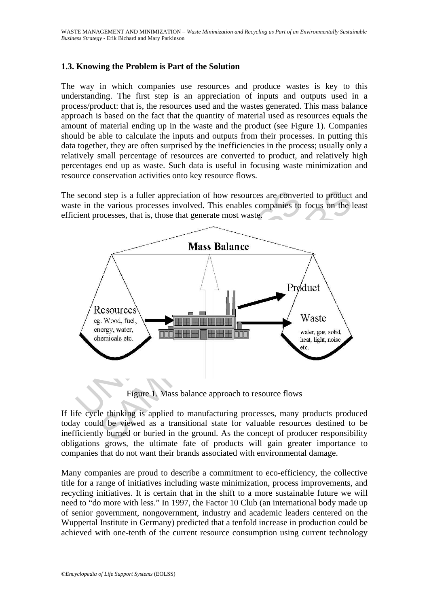# **1.3. Knowing the Problem is Part of the Solution**

The way in which companies use resources and produce wastes is key to this understanding. The first step is an appreciation of inputs and outputs used in a process/product: that is, the resources used and the wastes generated. This mass balance approach is based on the fact that the quantity of material used as resources equals the amount of material ending up in the waste and the product (see Figure 1). Companies should be able to calculate the inputs and outputs from their processes. In putting this data together, they are often surprised by the inefficiencies in the process; usually only a relatively small percentage of resources are converted to product, and relatively high percentages end up as waste. Such data is useful in focusing waste minimization and resource conservation activities onto key resource flows.

The second step is a fuller appreciation of how resources are converted to product and waste in the various processes involved. This enables companies to focus on the least efficient processes, that is, those that generate most waste.



Figure 1. Mass balance approach to resource flows

If life cycle thinking is applied to manufacturing processes, many products produced today could be viewed as a transitional state for valuable resources destined to be inefficiently burned or buried in the ground. As the concept of producer responsibility obligations grows, the ultimate fate of products will gain greater importance to companies that do not want their brands associated with environmental damage.

Many companies are proud to describe a commitment to eco-efficiency, the collective title for a range of initiatives including waste minimization, process improvements, and recycling initiatives. It is certain that in the shift to a more sustainable future we will need to "do more with less." In 1997, the Factor 10 Club (an international body made up of senior government, nongovernment, industry and academic leaders centered on the Wuppertal Institute in Germany) predicted that a tenfold increase in production could be achieved with one-tenth of the current resource consumption using current technology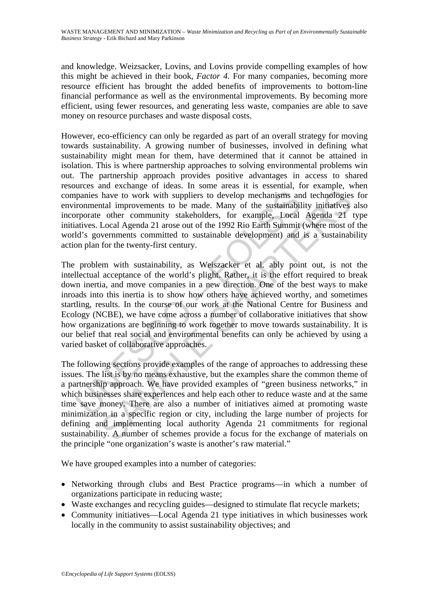and knowledge. Weizsacker, Lovins, and Lovins provide compelling examples of how this might be achieved in their book, *Factor 4*. For many companies, becoming more resource efficient has brought the added benefits of improvements to bottom-line financial performance as well as the environmental improvements. By becoming more efficient, using fewer resources, and generating less waste, companies are able to save money on resource purchases and waste disposal costs.

However, eco-efficiency can only be regarded as part of an overall strategy for moving towards sustainability. A growing number of businesses, involved in defining what sustainability might mean for them, have determined that it cannot be attained in isolation. This is where partnership approaches to solving environmental problems win out. The partnership approach provides positive advantages in access to shared resources and exchange of ideas. In some areas it is essential, for example, when companies have to work with suppliers to develop mechanisms and technologies for environmental improvements to be made. Many of the sustainability initiatives also incorporate other community stakeholders, for example, Local Agenda 21 type initiatives. Local Agenda 21 arose out of the 1992 Rio Earth Summit (where most of the world's governments committed to sustainable development) and is a sustainability action plan for the twenty-first century.

panies have to work with suppliers to develop mechanisms an<br>ironmental improvements to be made. Many of the sustainabil<br>proprate other community stakeholders, for example, Local<br>atives. Local Agenda 21 arose out of the 199 have to work with suppliers to develop mechanisms and technologies<br>that improvements to be made. Many of the sustainability initiatives<br>coher community stakeholders, for example, Local Agenda 21<br>Local Agenda 21 arose out o The problem with sustainability, as Weiszacker et al. ably point out, is not the intellectual acceptance of the world's plight. Rather, it is the effort required to break down inertia, and move companies in a new direction. One of the best ways to make inroads into this inertia is to show how others have achieved worthy, and sometimes startling, results. In the course of our work at the National Centre for Business and Ecology (NCBE), we have come across a number of collaborative initiatives that show how organizations are beginning to work together to move towards sustainability. It is our belief that real social and environmental benefits can only be achieved by using a varied basket of collaborative approaches.

The following sections provide examples of the range of approaches to addressing these issues. The list is by no means exhaustive, but the examples share the common theme of a partnership approach. We have provided examples of "green business networks," in which businesses share experiences and help each other to reduce waste and at the same time save money. There are also a number of initiatives aimed at promoting waste minimization in a specific region or city, including the large number of projects for defining and implementing local authority Agenda 21 commitments for regional sustainability. A number of schemes provide a focus for the exchange of materials on the principle "one organization's waste is another's raw material."

We have grouped examples into a number of categories:

- Networking through clubs and Best Practice programs—in which a number of organizations participate in reducing waste;
- Waste exchanges and recycling guides—designed to stimulate flat recycle markets;
- Community initiatives––Local Agenda 21 type initiatives in which businesses work locally in the community to assist sustainability objectives; and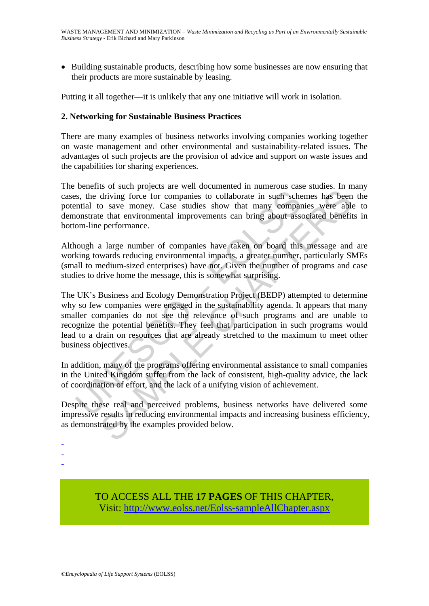• Building sustainable products, describing how some businesses are now ensuring that their products are more sustainable by leasing.

Putting it all together—it is unlikely that any one initiative will work in isolation.

### **2. Networking for Sustainable Business Practices**

There are many examples of business networks involving companies working together on waste management and other environmental and sustainability-related issues. The advantages of such projects are the provision of advice and support on waste issues and the capabilities for sharing experiences.

The benefits of such projects are well documented in numerous case studies. In many cases, the driving force for companies to collaborate in such schemes has been the potential to save money. Case studies show that many companies were able to demonstrate that environmental improvements can bring about associated benefits in bottom-line performance.

Although a large number of companies have taken on board this message and are working towards reducing environmental impacts, a greater number, particularly SMEs (small to medium-sized enterprises) have not. Given the number of programs and case studies to drive home the message, this is somewhat surprising.

is, the driving force for companies to collaborate in such schematial to save money. Case studies show that many comparisments that environmental improvements can bring about asset om board this sign com-line performance.<br> and vacan proposes are other catentarism and interaction and diving force for companies to collaborate in such schemes has been on save money. Case studies show that many companies were able that environmental improvements The UK's Business and Ecology Demonstration Project (BEDP) attempted to determine why so few companies were engaged in the sustainability agenda. It appears that many smaller companies do not see the relevance of such programs and are unable to recognize the potential benefits. They feel that participation in such programs would lead to a drain on resources that are already stretched to the maximum to meet other business objectives.

In addition, many of the programs offering environmental assistance to small companies in the United Kingdom suffer from the lack of consistent, high-quality advice, the lack of coordination of effort, and the lack of a unifying vision of achievement.

Despite these real and perceived problems, business networks have delivered some impressive results in reducing environmental impacts and increasing business efficiency, as demonstrated by the examples provided below.

- -

-

TO ACCESS ALL THE **17 PAGES** OF THIS CHAPTER, Visi[t: http://www.eolss.net/Eolss-sampleAllChapter.aspx](https://www.eolss.net/ebooklib/sc_cart.aspx?File=E4-13-03-02)